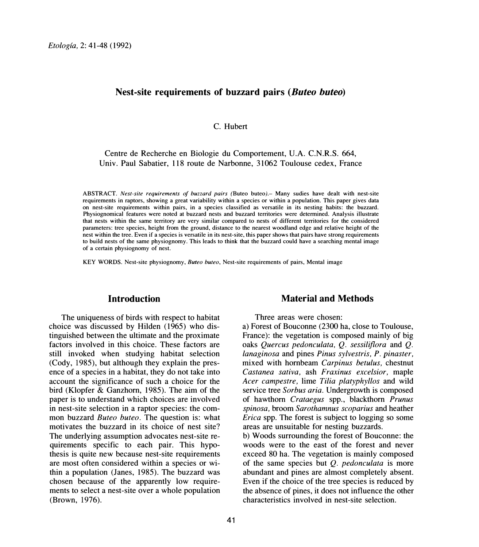# **Nest-site requirements of buzzard pairs** *(Buteo buteo)*

C. Hubert

Centre de Recherche en Biologie du Comportement, U.A. C.N.R.S. 664, Univ. Paul Sabatier, 118 route de Narbonne, 31062 Toulouse cedex, France

ABSTRACT. *Nest-site requirements of buzzard pairs* (Buteo buteo).- Many sudies have dealt with nest-site requirements in raptors, showing a great variability within a species or within a population. This paper gives data on nest-site requirements within pairs, in a species classified as versatile in its nesting habits: the buzzard. Physiognomical features were noted at buzzard nests and buzzard territories were determined. Analysis illustrate that nests within the same territory are very similar compared to nests of different territories for the considered parameters: tree species, height from the ground, distance to the nearest woodland edge and relative height of the nest within the tree. Even if a species is versatile in its nest-site, this paper shows that pairs have strong requirements to build nests of the same physiognomy. This leads to think that the buzzard could have a searching mental image of a certain physiognomy of nest.

KEY WORDS. Nest-site physiognomy, *Buteo buteo,* Nest-site requirements of pairs, Mental image

### **Introduction**

The uniqueness of birds with respect to habitat choice was discussed by Hilden (1965) who distinguished between the ultimate and the proximate factors involved in this choice. These factors are still invoked when studying habitat selection (Cody, 1985), but although they explain the presence of a species in a habitat, they do not take into account the significance of such a choice for the bird (Klopfer & Ganzhorn, 1985). The aim of the paper is to understand which choices are involved in nest-site selection in a raptor species: the common buzzard *Buteo buteo.* The question is: what motivates the buzzard in its choice of nest site? The underlying assumption advocates nest-site requirements specific to each pair. This hypothesis is quite new because nest-site requirements are most often considered within a species or within a population (Janes, 1985). The buzzard was chosen because of the apparently low requirements to select a nest-site over a whole population (Brown, 1976).

41

#### **Material and Methods**

Three areas were chosen:

a) Forest of Bouconne (2300 ha, close to Toulouse, France): the vegetation is composed mainly of big oaks *Quercus pedonculata, Q. sessiliflora* and *Q. lanaginosa* and pines *Pinus sylvestris, P. pinaster,* mixed with hornbeam *Carpinus betulus,* chestnut *Castanea sativa,* ash *Fraxinus excelsior,* maple *Acer campestre,* lime *Tilia platyphyllos* and wild service tree *Sorbus aria.* Undergrowth is composed of hawthorn *Crataegus* spp., blackthorn *Prunus spinosa,* broom *Sarothamnus scoparius* and heather *Erica* spp. The forest is subject to logging so some areas are unsuitable for nesting buzzards.

b) Woods surrounding the forest of Bouconne: the woods were to the east of the forest and never exceed 80 ha. The vegetation is mainly composed of the same species but *Q. pedonculata* is more abundant and pines are almost completely absent. Even if the choice of the tree species is reduced by the absence of pines, it does not influence the other characteristics involved in nest-site selection.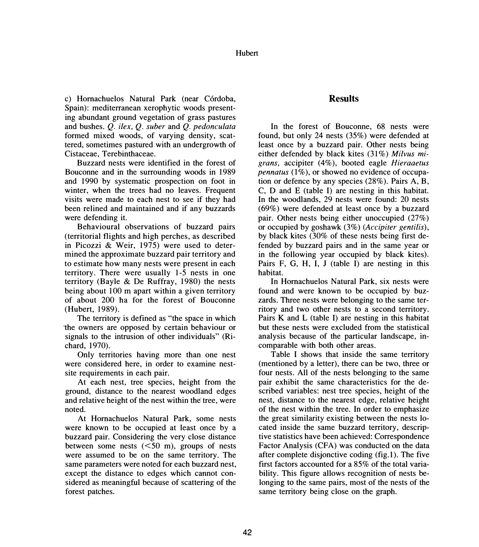c) Hornachuelos Natural Park (near Córdoba, Spain): mediterranean xerophytic woods presenting abundant ground vegetation of grass pastures and bushes. *Q. ilex, Q. suber* and *Q. pedonculata* formed mixed woods, of varying density, scattered, sometimes pastured with an undergrowth of Cistaceae, Terebinthaceae.

Buzzard nests were identified in the forest of Bouconne and in the surrounding woods in 1989 and 1990 by systematic prospection on foot in winter, when the trees had no leaves. Frequent visits were made to each nest to see if they had been relined and maintained and if any buzzards were defending it.

Behavioural observations of buzzard pairs ( territorial flights and high perches, as described in Picozzi & Weir, 1975) were used to determined the approximate buzzard pair territory and to estimate how many nests were present in each territory. There were usually 1-5 nests in one territory (Bayle & De Ruffray, 1980) the nests being about 100 m apart within a given territory of about 200 ha for the forest of Bouconne (Hubert, 1989).

The territory is defined as "the space in which the owners are opposed by certain behaviour or signals to the intrusion of other individuals" (Richard, 1970).

Only territories having more than one nest were considered here, in order to examine nestsite requirements in each pair.

At each nest, tree species, height from the ground, distance to the nearest woodland edges and relative height of the nest within the tree, were noted.

At Homachuelos Natural Park, some nests were known to be occupied at least once by a buzzard pair. Considering the very close distance between some nests  $(<50 \text{ m})$ , groups of nests were assumed to be on the same territory. The same parameters were noted for each buzzard nest, except the distance to edges which cannot considered as meaningful because of scattering of the forest patches.

# **Results**

In the forest of Bouconne, 68 nests were found, but only 24 nests (35%) were defended at least once by a buzzard pair. Other nests being either defended by black kites (31%) Milvus mi*grans,* accipiter (4%), booted eagle *Hieraaetus pennatus* (1%), or showed no evidence of occupation or defence by any species (28%). Pairs A, B, C, D and E (table I) are nesting in this habitat. In the woodlands, 29 nests were found: 20 nests (69%) were defended at least once by a buzzard pair. Other nests being either unoccupied (27%) or occupied by goshawk (3%) *(Accipiter gentilis),*  by black kites (30% of these nests being first defended by buzzard pairs and in the same year or in the following year occupied by black kites). Pairs F, G, H, I, J (table I) are nesting in this habitat.

In Homachuelos Natural Park, six nests were found and were known to be occupied by buzzards. Three nests were belonging to the same territory and two other nests to a second territory. Pairs K and L (table I) are nesting in this habitat but these nests were excluded from the statistical analysis because of the particular landscape, incomparable with both other areas.

Table I shows that inside the same territory (mentioned by a letter), there can be two, three or four nests. All of the nests belonging to the same pair exhibit the same characteristics for the described variables: nest tree species, height of the nest, distance to the nearest edge, relative height of the nest within the tree. In order to emphasize the great similarity existing between the nests located inside the same buzzard territory, descriptive statistics have been achieved: Correspondence Factor Analysis (CFA) was conducted on the data after complete disjonctive coding (fig.I). The five first factors accounted for a 85% of the total variability. This figure allows recognition of nests belonging to the same pairs, most of the nests of the same territory being close on the graph.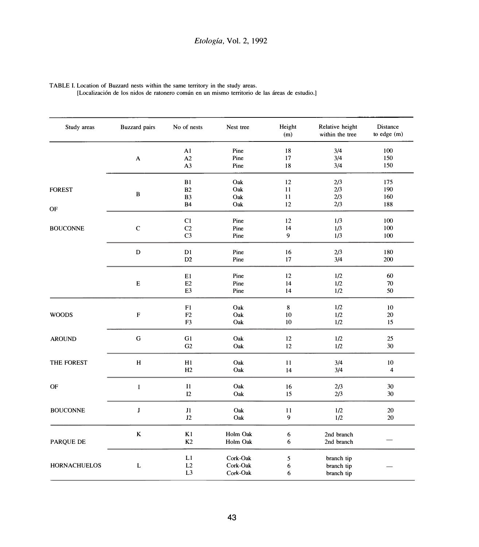| Study areas                  | <b>Buzzard</b> pairs      | No of nests             | Nest tree | Height<br>(m) | Relative height<br>within the tree | Distance<br>to edge (m) |
|------------------------------|---------------------------|-------------------------|-----------|---------------|------------------------------------|-------------------------|
|                              |                           | A1                      | Pine      | 18            | 3/4                                | 100                     |
|                              | $\boldsymbol{\mathsf{A}}$ | A2                      | Pine      | 17            | 3/4                                | 150                     |
|                              |                           | A <sub>3</sub>          | Pine      | 18            | 3/4                                | 150                     |
|                              |                           | B1                      | Oak       | 12            | 2/3                                | 175                     |
| <b>FOREST</b>                | $\, {\bf B}$              | B <sub>2</sub>          | Oak       | 11            | 2/3                                | 190                     |
|                              |                           | B <sub>3</sub>          | Oak       | 11            | 2/3                                | 160                     |
| OF                           |                           | <b>B4</b>               | Oak       | 12            | 2/3                                | 188                     |
|                              |                           | C1                      | Pine      | 12            | 1/3                                | 100                     |
| <b>BOUCONNE</b>              | ${\bf C}$                 | C2                      | Pine      | 14            | 1/3                                | 100                     |
|                              |                           | C <sub>3</sub>          | Pine      | 9             | 1/3                                | 100                     |
|                              | ${\bf D}$                 | D1                      | Pine      | 16            | 2/3                                | 180                     |
|                              |                           | D2                      | Pine      | 17            | 3/4                                | 200                     |
|                              |                           | E1                      | Pine      | 12            | 1/2                                | 60                      |
|                              | ${\bf E}$                 | E <sub>2</sub>          | Pine      | 14            | 1/2                                | 70                      |
|                              |                           | E <sub>3</sub>          | Pine      | 14            | 1/2                                | 50                      |
|                              |                           | F1                      | Oak       | $\bf 8$       | 1/2                                | 10                      |
| <b>WOODS</b>                 | $\mathbf F$               | F <sub>2</sub>          | Oak       | 10            | 1/2                                | 20                      |
|                              |                           | F <sub>3</sub>          | Oak       | 10            | 1/2                                | 15                      |
| <b>AROUND</b>                | ${\bf G}$                 | G1                      | Oak       | 12            | 1/2                                | 25                      |
|                              |                           | G <sub>2</sub>          | Oak       | 12            | 1/2                                | 30                      |
| THE FOREST                   | $\mathbf H$               | H1                      | Oak       | 11            | 3/4                                | 10                      |
|                              |                           | H2                      | Oak       | 14            | 3/4                                | $\overline{\mathbf{4}}$ |
| <b>OF</b>                    | I                         | $\mathbf{I} \mathbf{1}$ | Oak       | 16            | 2/3                                | 30                      |
|                              |                           | I2                      | Oak       | 15            | 2/3                                | 30                      |
| <b>BOUCONNE</b><br>PARQUE DE | J                         | $\mathbf{J1}$           | Oak       | 11            | 1/2                                | 20                      |
|                              |                           | J2                      | Oak       | 9             | $1/2$                              | 20                      |
|                              | $\bf K$                   | K1                      | Holm Oak  | 6             | 2nd branch                         |                         |
|                              |                           | K <sub>2</sub>          | Holm Oak  | 6             | 2nd branch                         |                         |
|                              |                           | L1                      | Cork-Oak  | 5             |                                    |                         |
| <b>HORNACHUELOS</b>          | L                         | L2                      | Cork-Oak  | 6             | branch tip<br>branch tip           |                         |
|                              |                           | L <sub>3</sub>          | Cork-Oak  | 6             | branch tip                         |                         |

TABLE I. Location of Buzzard nests within the same territory in the study areas.

[Localizaci6n de los nidos de ratonero comun en un mismo territorio de las areas de estudio.]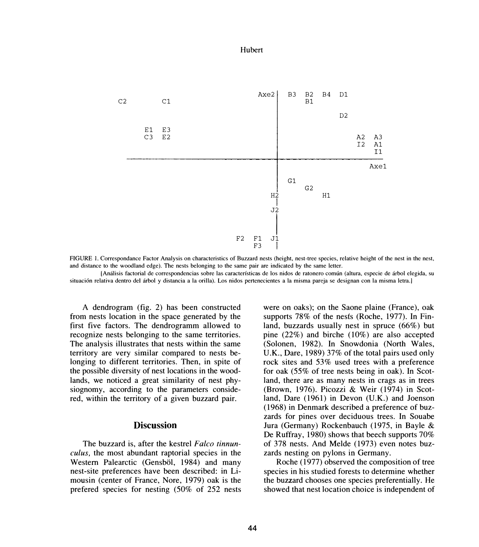

FIGURE I. Correspondance Factor Analysis on characteristics of Buzzard nests (height, nest-tree species, relative height of the nest in the nest, and distance to the woodland edge). The nests belonging lo the same pair are indicated by the same letter.

[Análisis factorial de correspondencias sobre las características de los nidos de ratonero común (altura, especie de árbol elegida, su situación relativa dentro del árbol y distancia a la orilla). Los nidos pertenecientes a la misma pareja se designan con la misma letra.]

A dendrogram (fig. 2) has been constructed from nests location in the space generated by the first five factors. The dendrogramm allowed to recognize nests belonging to the same territories. The analysis illustrates that nests within the same territory are very similar compared to nests belonging to different territories. Then, in spite of the possible diversity of nest locations in the woodlands, we noticed a great similarity of nest physiognomy, according to the parameters considered, within the territory of a given buzzard pair.

# **Discussion**

The buzzard is, after the kestrel *Falco tinnunculus,* the most abundant raptorial species in the Western Palearctic (Gensböl, 1984) and many nest-site preferences have been described: in Limousin (center of France, Nore, 1979) oak is the prefered species for nesting (50% of 252 nests

were on oaks); on the Saone plaine (France), oak supports 78% of the nests (Roche, 1977). In Finland, buzzards usually nest in spruce (66%) but pine (22%) and birche (10%) are also accepted (Solonen, 1982). In Snowdonia (North Wales, U.K., Dare, 1989) 37% of the total pairs used only rock sites and 53% used trees with a preference for oak (55% of tree nests being in oak). In Scotland, there are as many nests in crags as in trees (Brown, 1976). Picozzi & Weir (1974) in Scotland, Dare (1961) in Devon (U.K.) and Joenson (1968) in Denmark described a preference of buzzards for pines over deciduous trees. In Souabe Jura (Germany) Rockenbauch (1975, in Bayle & De Ruffray, 1980) shows that beech supports 70% of 378 nests. And Melde (1973) even notes buzzards nesting on pylons in Germany.

Roche (1977) observed the composition of tree species in his studied forests to determine whether the buzzard chooses one species preferentially. He showed that nest location choice is independent of

#### Hubert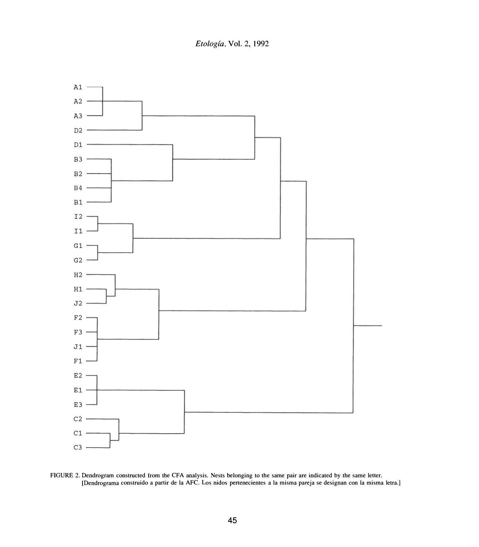*Etologfa.* Vol. 2, 1992



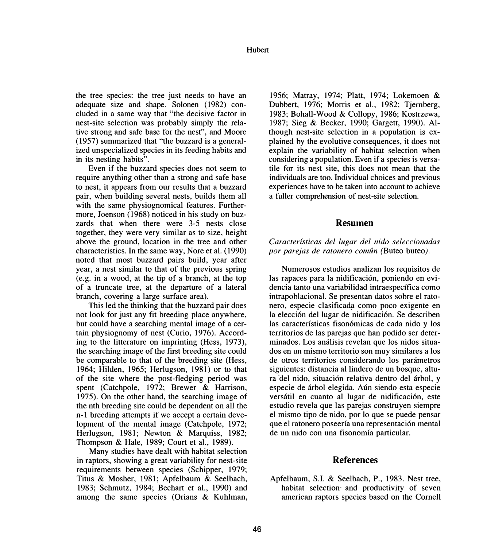the tree species: the tree just needs to have an adequate size and shape. Solonen (1982) concluded in a same way that "the decisive factor in nest-site selection was probably simply the relative strong and safe base for the nest", and Moore (1957) summarized that "the buzzard is a generalized unspecialized species in its feeding habits and in its nesting habits".

Even if the buzzard species does not seem to require anything other than a strong and safe base to nest, it appears from our results that a buzzard pair, when building several nests, builds them all with the same physiognomical features. Furthermore, Joenson (1968) noticed in his study on buzzards that when there were 3-5 nests close together, they were very similar as to size, height above the ground, location in the tree and other characteristics. In the same way, Nore et al. (1990) noted that most buzzard pairs build, year after year, a nest similar to that of the previous spring (e.g. in a wood, at the tip of a branch, at the top of a truncate tree, at the departure of a lateral branch, covering a large surface area).

This led the thinking that the buzzard pair does not look for just any fit breeding place anywhere, but could have a searching mental image of a certain physiognomy of nest (Curio, 1976). According to the litterature on imprinting (Hess, 1973), the searching image of the first breeding site could be comparable to that of the breeding site (Hess, 1964; Hilden, 1965; Herlugson, 1981) or to that of the site where the post-fledging period was spent (Catchpole, 1972; Brewer & Harrison, 1975). On the other hand, the searching image of the nth breeding site could be dependent on all the n-1 breeding attempts if we accept a certain development of the mental image (Catchpole, 1972; Herlugson, 1981; Newton & Marquiss, 1982; Thompson & Hale, 1989; Court et al., 1989).

Many studies have dealt with habitat selection in raptors, showing a great variability for nest-site requirements between species (Schipper, 1979; Titus & Mosher, 1981; Apfelbaum & Seelbach, 1983; Schmutz, 1984; Bechart et al., 1990) and among the same species (Orians & Kuhlman,

1956; Matray, 1974; Platt, 1974; Lokemoen & Dubbert, 1976; Morris et al., 1982; Tjernberg, 1983; Bohall-Wood & Collopy, 1986; Kostrzewa, 1987; Sieg & Becker, 1990; Gargett, 1990). Although nest-site selection in a population is explained by the evolutive consequences, it does not explain the variability of habitat selection when considering a population. Even if a species is versatile for its nest site, this does not mean that the individuals are too. Individual choices and previous experiences have to be taken into account to achieve a fuller comprehension of nest-site selection.

## **Resumen**

### *Caracterfsticas del lugar de/ nido seleccionadas por parejas de ratonero comun (Buteo buteo).*

Numerosos estudios analizan los requisitos de las rapaces para la nidificación, poniendo en evidencia tanto una variabilidad intraespecffica como intrapoblacional. Se presentan datos sobre el ratonero, especie clasificada como poco exigente en la elección del lugar de nidificación. Se describen las características fisonómicas de cada nido y los territorios de las parejas que han podido ser determinados. Los análisis revelan que los nidos situados en un mismo territorio son muy similares a los de otros territorios considerando los parametros siguientes: distancia al lindero de un bosque, altura del nido, situación relativa dentro del árbol, y especie de arbol elegida. Aun siendo esta especie versátil en cuanto al lugar de nidificación, este estudio revela que las parejas construyen siempre el mismo tipo de nido, por lo que se puede pensar que el ratonero poseería una representación mental de un nido con una fisonomfa particular.

## **References**

Apfelbaum, S.I. & Seelbach, P., 1983. Nest tree, habitat selection· and productivity of seven american raptors species based on the Cornell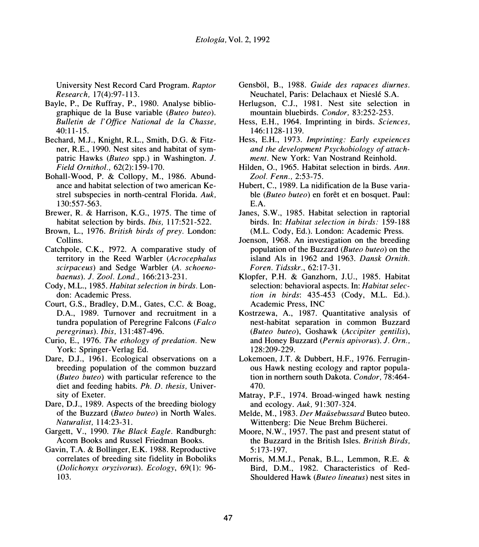University Nest Record Card Program. *Raptor Research,* 17(4):97-113.

- Bayle, P., De Ruffray, P., 1980. Analyse bibliographique de la Buse variable *(Buteo buteo). Bulletin de /'Office National de la Chasse,*  40:11-15.
- Bechard, M.J., Knight, R.L., Smith, D.G. & Fitzner, R.E., 1990. Nest sites and habitat of sympatric Hawks *(Buteo* spp.) in Washington. *J. Field Ornithol.,* 62(2): 159-170.
- Bohall-Wood, P. & Collopy, M., 1986. Abundance and habitat selection of two american Kestrel subspecies in north-central Florida. *Auk,*  130:557-563.
- Brewer, R. & Harrison, K.G., 1975. The time of habitat selection by birds. *Ibis,* 117:521-522.
- Brown, L., 1976. *British birds of prey.* London: Collins.
- Catchpole, C.K., 1972. A comparative study of territory in the Reed Warbler *(Acrocephalus scirpaceus)* and Sedge Warbler *(A. schoenobaenus). J. Zoo/. Land.,* 166:213-231.
- Cody, M.L., 1985. *Habitat selection in birds.* London: Academic Press.
- Court, G.S., Bradley, D.M., Gates, C.C. & Boag, D.A., 1989. Turnover and recruitment in a tundra population of Peregrine Falcons *(Falco peregrinus). Ibis,* 131 :487-496.
- Curio, E., 1976. *The ethology of predation.* New York: Springer-Verlag Ed.
- Dare, D.J., 1961. Ecological observations on a breeding population of the common buzzard *(Buteo buteo)* with particular reference to the diet and feeding habits. *Ph. D. thesis,* University of Exeter.
- Dare, D.J., 1989. Aspects of the breeding biology of the Buzzard *(Buteo buteo)* in North Wales. *Naturalist,* 114:23-31.
- Gargett, V., 1990. *The Black Eagle.* Randburgh: Acorn Books and Russel Friedman Books.
- Gavin, T.A. & Bollinger, E.K. 1988. Reproductive correlates of breeding site fidelity in Boboliks *(Dolichonyx oryzivorus). Ecology,* 69(1 ): 96- 103.
- Gensbol, B., 1988. *Guide des rapaces diurnes.*  Neuchatel, Paris: Delachaux et Nieslé S.A.
- Herlugson, C.J., 1981. Nest site selection in mountain bluebirds. *Condor,* 83:252-253.
- Hess, E.H., 1964. Imprinting in birds. *Sciences,*  146: 1128-1139.
- Hess, E.H., 1973. *Imprinting: Early expeiences and the development Psychobiology of attachment.* New York: Van Nostrand Reinhold.
- Hilden, 0., 1965. Habitat selection in birds. *Ann. Zoo/. Fenn.,* 2:53-75.
- Hubert, C., 1989. La nidification de la Buse variable *(Buteo buteo)* en forêt et en bosquet. Paul: E.A.
- Janes, S.W., 1985. Habitat selection in raptorial birds. In: *Habitat selection in birds:* 159-188 (M.L. Cody, Ed.). London: Academic Press.
- Joenson, 1968. An investigation on the breeding population of the Buzzard *(Buteo buteo)* on the island Als in 1962 and 1963. *Dansk Ornith*. *Faren. Tidsskr.,* 62:17-31.
- Klopfer, P.H. & Ganzhorn, J.U., 1985. Habitat selection: behavioral aspects. In: *Habitat selection in birds:* 435-453 (Cody, M.L. Ed.). Academic Press, INC
- Kostrzewa, A., 1987. Quantitative analysis of nest-habitat separation in common Buzzard *(Buteo buteo),* Goshawk *(Accipiter gentilis),*  and Honey Buzzard *(Pernis apivorus). J. Orn,,*  128:209-229.
- Lokemoen, J.T. & Dubbert, H.F., 1976. Ferruginous Hawk nesting ecology and raptor population in northern south Dakota. *Condor,* 78:464- 470.
- Matray, P.F., 1974. Broad-winged hawk nesting and ecology. *Auk,* 91:307-324.
- Melde, M., 1983. *Der Maiisebussard* Buteo buteo. Wittenberg: Die Neue Brehm Biicherei.
- Moore, N.W., 1957. The past and present statut of the Buzzard in the British Isles. *British Birds,*  5:173-197.
- Morris, M.M.J., Penak, B.L., Lemmon, R.E. & Bird, D.M., 1982. Characteristics of Red-Shouldered Hawk *(Buteo lineatus)* nest sites in